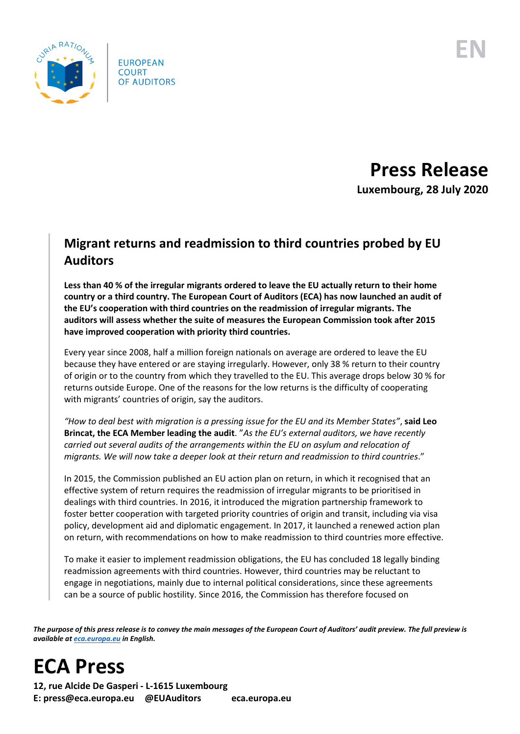

**Press Release Luxembourg, 28 July 2020**

## **Migrant returns and readmission to third countries probed by EU Auditors**

**Less than 40 % of the irregular migrants ordered to leave the EU actually return to their home country or a third country. The European Court of Auditors (ECA) has now launched an audit of the EU's cooperation with third countries on the readmission of irregular migrants. The auditors will assess whether the suite of measures the European Commission took after 2015 have improved cooperation with priority third countries.**

Every year since 2008, half a million foreign nationals on average are ordered to leave the EU because they have entered or are staying irregularly. However, only 38 % return to their country of origin or to the country from which they travelled to the EU. This average drops below 30 % for returns outside Europe. One of the reasons for the low returns is the difficulty of cooperating with migrants' countries of origin, say the auditors.

*"How to deal best with migration is a pressing issue for the EU and its Member States"*, **said Leo Brincat, the ECA Member leading the audit**. "*As the EU's external auditors, we have recently carried out several audits of the arrangements within the EU on asylum and relocation of migrants. We will now take a deeper look at their return and readmission to third countries*."

In 2015, the Commission published an EU action plan on return, in which it recognised that an effective system of return requires the readmission of irregular migrants to be prioritised in dealings with third countries. In 2016, it introduced the migration partnership framework to foster better cooperation with targeted priority countries of origin and transit, including via visa policy, development aid and diplomatic engagement. In 2017, it launched a renewed action plan on return, with recommendations on how to make readmission to third countries more effective.

To make it easier to implement readmission obligations, the EU has concluded 18 legally binding readmission agreements with third countries. However, third countries may be reluctant to engage in negotiations, mainly due to internal political considerations, since these agreements can be a source of public hostility. Since 2016, the Commission has therefore focused on

*The purpose of this press release is to convey the main messages of the European Court of Auditors' audit preview. The full preview is available at [eca.europa.eu](https://www.eca.europa.eu/) in English.*

**ECA Press**

**12, rue Alcide De Gasperi - L-1615 Luxembourg E: press@eca.europa.eu @EUAuditors eca.europa.eu**